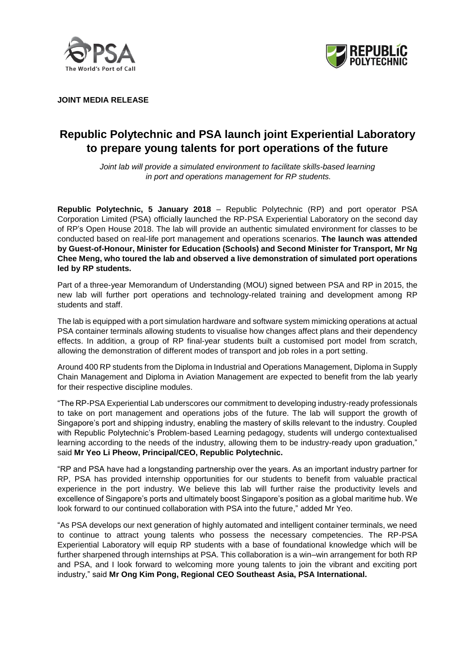



**JOINT MEDIA RELEASE**

# **Republic Polytechnic and PSA launch joint Experiential Laboratory to prepare young talents for port operations of the future**

*Joint lab will provide a simulated environment to facilitate skills-based learning in port and operations management for RP students.*

**Republic Polytechnic, 5 January 2018** – Republic Polytechnic (RP) and port operator PSA Corporation Limited (PSA) officially launched the RP-PSA Experiential Laboratory on the second day of RP's Open House 2018. The lab will provide an authentic simulated environment for classes to be conducted based on real-life port management and operations scenarios. **The launch was attended by Guest-of-Honour, Minister for Education (Schools) and Second Minister for Transport, Mr Ng Chee Meng, who toured the lab and observed a live demonstration of simulated port operations led by RP students.**

Part of a three-year Memorandum of Understanding (MOU) signed between PSA and RP in 2015, the new lab will further port operations and technology-related training and development among RP students and staff.

The lab is equipped with a port simulation hardware and software system mimicking operations at actual PSA container terminals allowing students to visualise how changes affect plans and their dependency effects. In addition, a group of RP final-year students built a customised port model from scratch, allowing the demonstration of different modes of transport and job roles in a port setting.

Around 400 RP students from the Diploma in Industrial and Operations Management, Diploma in Supply Chain Management and Diploma in Aviation Management are expected to benefit from the lab yearly for their respective discipline modules.

"The RP-PSA Experiential Lab underscores our commitment to developing industry-ready professionals to take on port management and operations jobs of the future. The lab will support the growth of Singapore's port and shipping industry, enabling the mastery of skills relevant to the industry. Coupled with Republic Polytechnic's Problem-based Learning pedagogy, students will undergo contextualised learning according to the needs of the industry, allowing them to be industry-ready upon graduation," said **Mr Yeo Li Pheow, Principal/CEO, Republic Polytechnic.**

"RP and PSA have had a longstanding partnership over the years. As an important industry partner for RP, PSA has provided internship opportunities for our students to benefit from valuable practical experience in the port industry. We believe this lab will further raise the productivity levels and excellence of Singapore's ports and ultimately boost Singapore's position as a global maritime hub. We look forward to our continued collaboration with PSA into the future," added Mr Yeo.

"As PSA develops our next generation of highly automated and intelligent container terminals, we need to continue to attract young talents who possess the necessary competencies. The RP-PSA Experiential Laboratory will equip RP students with a base of foundational knowledge which will be further sharpened through internships at PSA. This collaboration is a win–win arrangement for both RP and PSA, and I look forward to welcoming more young talents to join the vibrant and exciting port industry," said **Mr Ong Kim Pong, Regional CEO Southeast Asia, PSA International.**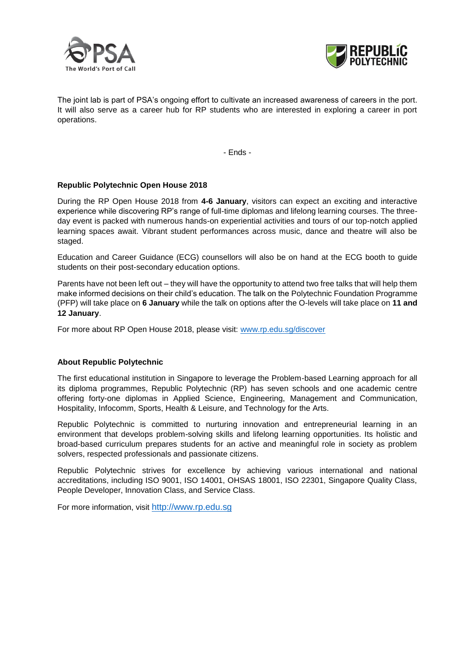



The joint lab is part of PSA's ongoing effort to cultivate an increased awareness of careers in the port. It will also serve as a career hub for RP students who are interested in exploring a career in port operations.

- Ends -

## **Republic Polytechnic Open House 2018**

During the RP Open House 2018 from **4-6 January**, visitors can expect an exciting and interactive experience while discovering RP's range of full-time diplomas and lifelong learning courses. The threeday event is packed with numerous hands-on experiential activities and tours of our top-notch applied learning spaces await. Vibrant student performances across music, dance and theatre will also be staged.

Education and Career Guidance (ECG) counsellors will also be on hand at the ECG booth to guide students on their post-secondary education options.

Parents have not been left out – they will have the opportunity to attend two free talks that will help them make informed decisions on their child's education. The talk on the Polytechnic Foundation Programme (PFP) will take place on **6 January** while the talk on options after the O-levels will take place on **11 and 12 January**.

For more about RP Open House 2018, please visit: [www.rp.edu.sg/discover](http://www.rp.edu.sg/discover)

## **About Republic Polytechnic**

The first educational institution in Singapore to leverage the Problem-based Learning approach for all its diploma programmes, Republic Polytechnic (RP) has seven schools and one academic centre offering forty-one diplomas in Applied Science, Engineering, Management and Communication, Hospitality, Infocomm, Sports, Health & Leisure, and Technology for the Arts.

Republic Polytechnic is committed to nurturing innovation and entrepreneurial learning in an environment that develops problem-solving skills and lifelong learning opportunities. Its holistic and broad-based curriculum prepares students for an active and meaningful role in society as problem solvers, respected professionals and passionate citizens.

Republic Polytechnic strives for excellence by achieving various international and national accreditations, including ISO 9001, ISO 14001, OHSAS 18001, ISO 22301, Singapore Quality Class, People Developer, Innovation Class, and Service Class.

For more information, visit [http://www.rp.edu.sg](http://www.rp.edu.sg/)